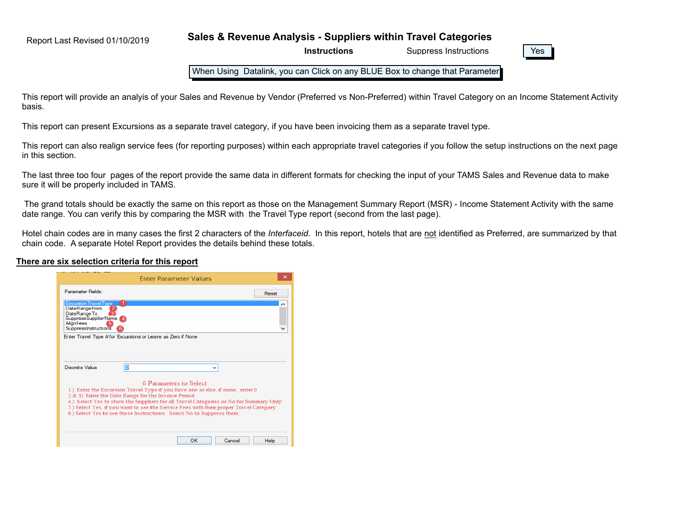Report Last Revised 01/10/2019

**Sales & Revenue Analysis - Suppliers within Travel Categories**

**Instructions**



When Using Datalink, you can Click on any BLUE Box to change that Parameter

This report will provide an analyis of your Sales and Revenue by Vendor (Preferred vs Non-Preferred) within Travel Category on an Income Statement Activity basis.

This report can present Excursions as a separate travel category, if you have been invoicing them as a separate travel type.

This report can also realign service fees (for reporting purposes) within each appropriate travel categories if you follow the setup instructions on the next page in this section.

The last three too four pages of the report provide the same data in different formats for checking the input of your TAMS Sales and Revenue data to make sure it will be properly included in TAMS.

 The grand totals should be exactly the same on this report as those on the Management Summary Report (MSR) - Income Statement Activity with the same date range. You can verify this by comparing the MSR with the Travel Type report (second from the last page).

Hotel chain codes are in many cases the first 2 characters of the *Interfaceid*. In this report, hotels that are not identified as Preferred, are summarized by that chain code. A separate Hotel Report provides the details behind these totals.

#### **There are six selection criteria for this report**

|                                                                                                                                                                                                                                                                                                                                                                                                                   |   |                        | <b>Enter Parameter Values</b> |       |
|-------------------------------------------------------------------------------------------------------------------------------------------------------------------------------------------------------------------------------------------------------------------------------------------------------------------------------------------------------------------------------------------------------------------|---|------------------------|-------------------------------|-------|
| Parameter Fields:                                                                                                                                                                                                                                                                                                                                                                                                 |   |                        |                               | Reset |
| Excursion Travel Type<br><b>DateRangeFrom</b><br>DateRangeTo<br>SuppressSupplierName<br>AlianFees<br>SuppressInstructions<br>Enter Travel Type # for Excursions or Leave as Zero if None                                                                                                                                                                                                                          |   |                        |                               |       |
| Discrete Value<br>1.) Enter the Excursion Travel Type if you have one or else, if none, enter 0<br>2 & 3) Enter the Date Range for the Invoice Period<br>4.) Select Yes to show the Suppliers for all Travel Categories or No for Summary Only<br>5.) Select Yes, if you want to see the Service Fees with their proper Travel Category.<br>6.) Select Yes to see these Instructions. Select No to Suppress them. | п | 6 Parameters to Select |                               |       |
|                                                                                                                                                                                                                                                                                                                                                                                                                   |   |                        |                               |       |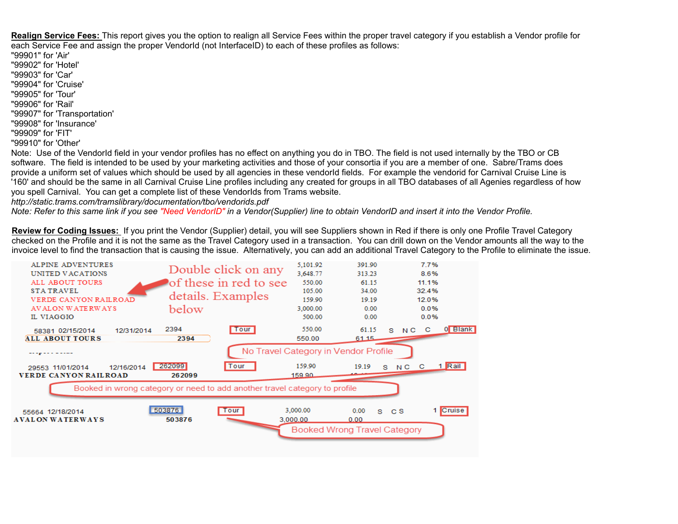**Realign Service Fees:** This report gives you the option to realign all Service Fees within the proper travel category if you establish a Vendor profile for each Service Fee and assign the proper VendorId (not InterfaceID) to each of these profiles as follows:

"99901" for 'Air' "99902" for 'Hotel' "99903" for 'Car' "99904" for 'Cruise' "99905" for 'Tour' "99906" for 'Rail' "99907" for 'Transportation' "99908" for 'Insurance' "99909" for 'FIT' "99910" for 'Other'

Note: Use of the VendorId field in your vendor profiles has no effect on anything you do in TBO. The field is not used internally by the TBO or CB software. The field is intended to be used by your marketing activities and those of your consortia if you are a member of one. Sabre/Trams does provide a uniform set of values which should be used by all agencies in these vendorId fields. For example the vendorid for Carnival Cruise Line is '160' and should be the same in all Carnival Cruise Line profiles including any created for groups in all TBO databases of all Agenies regardless of how you spell Carnival. You can get a complete list of these VendorIds from Trams website.

*http://static.trams.com/tramslibrary/documentation/tbo/vendorids.pdf*

*Note: Refer to this same link if you see "Need VendorID" in a Vendor(Supplier) line to obtain VendorID and insert it into the Vendor Profile.*

**Review for Coding Issues:** If you print the Vendor (Supplier) detail, you will see Suppliers shown in Red if there is only one Profile Travel Category checked on the Profile and it is not the same as the Travel Category used in a transaction. You can drill down on the Vendor amounts all the way to the invoice level to find the transaction that is causing the issue. Alternatively, you can add an additional Travel Category to the Profile to eliminate the issue.

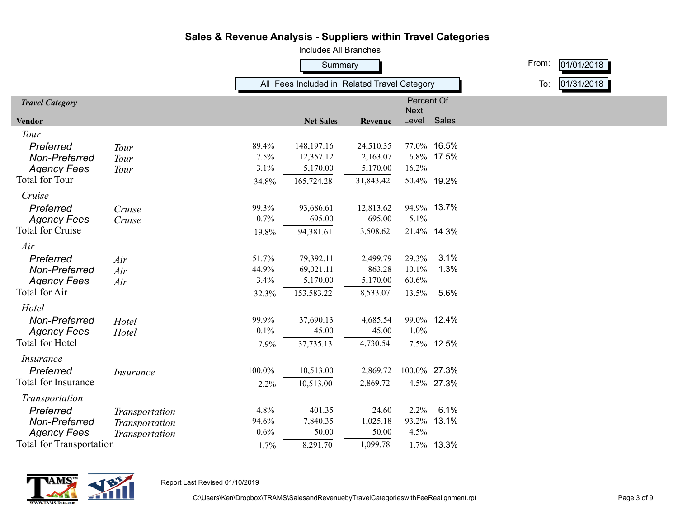|                                 |                  |         | <b>Includes All Branches</b>                 |           |                    |             |       |            |  |
|---------------------------------|------------------|---------|----------------------------------------------|-----------|--------------------|-------------|-------|------------|--|
|                                 |                  | Summary |                                              |           |                    |             | From: | 01/01/2018 |  |
|                                 |                  |         | All Fees Included in Related Travel Category |           | To:                | 01/31/2018  |       |            |  |
| <b>Travel Category</b>          |                  |         |                                              |           | Percent Of<br>Next |             |       |            |  |
| <b>Vendor</b>                   |                  |         | <b>Net Sales</b>                             | Revenue   | Level Sales        |             |       |            |  |
| Tour                            |                  |         |                                              |           |                    |             |       |            |  |
| Preferred                       | Tour             | 89.4%   | 148,197.16                                   | 24,510.35 |                    | 77.0% 16.5% |       |            |  |
| Non-Preferred                   | Tour             | 7.5%    | 12,357.12                                    | 2,163.07  |                    | 6.8% 17.5%  |       |            |  |
| <b>Agency Fees</b>              | Tour             | 3.1%    | 5,170.00                                     | 5,170.00  | 16.2%              |             |       |            |  |
| <b>Total for Tour</b>           |                  | 34.8%   | 165,724.28                                   | 31,843.42 |                    | 50.4% 19.2% |       |            |  |
| Cruise                          |                  |         |                                              |           |                    |             |       |            |  |
| Preferred                       | Cruise           | 99.3%   | 93,686.61                                    | 12,813.62 |                    | 94.9% 13.7% |       |            |  |
| <b>Agency Fees</b>              | Cruise           | 0.7%    | 695.00                                       | 695.00    | 5.1%               |             |       |            |  |
| <b>Total for Cruise</b>         |                  | 19.8%   | 94,381.61                                    | 13,508.62 |                    | 21.4% 14.3% |       |            |  |
| Air                             |                  |         |                                              |           |                    |             |       |            |  |
| Preferred                       | Air              | 51.7%   | 79,392.11                                    | 2,499.79  | 29.3%              | 3.1%        |       |            |  |
| Non-Preferred                   | Air              | 44.9%   | 69,021.11                                    | 863.28    | 10.1%              | 1.3%        |       |            |  |
| <b>Agency Fees</b>              | Air              | 3.4%    | 5,170.00                                     | 5,170.00  | 60.6%              |             |       |            |  |
| <b>Total for Air</b>            |                  | 32.3%   | 153,583.22                                   | 8,533.07  | 13.5%              | 5.6%        |       |            |  |
| Hotel                           |                  |         |                                              |           |                    |             |       |            |  |
| Non-Preferred                   | Hotel            | 99.9%   | 37,690.13                                    | 4,685.54  |                    | 99.0% 12.4% |       |            |  |
| <b>Agency Fees</b>              | Hotel            | 0.1%    | 45.00                                        | 45.00     | 1.0%               |             |       |            |  |
| Total for Hotel                 |                  | 7.9%    | 37,735.13                                    | 4,730.54  |                    | 7.5% 12.5%  |       |            |  |
| <i>Insurance</i>                |                  |         |                                              |           |                    |             |       |            |  |
| Preferred                       | <b>Insurance</b> | 100.0%  | 10,513.00                                    | 2,869.72  | 100.0% 27.3%       |             |       |            |  |
| Total for Insurance             |                  | 2.2%    | 10,513.00                                    | 2,869.72  |                    | 4.5% 27.3%  |       |            |  |
| Transportation                  |                  |         |                                              |           |                    |             |       |            |  |
| Preferred                       | Transportation   | 4.8%    | 401.35                                       | 24.60     | $2.2\%$            | 6.1%        |       |            |  |
| Non-Preferred                   | Transportation   | 94.6%   | 7,840.35                                     | 1,025.18  |                    | 93.2% 13.1% |       |            |  |
| <b>Agency Fees</b>              | Transportation   | 0.6%    | 50.00                                        | 50.00     | 4.5%               |             |       |            |  |
| <b>Total for Transportation</b> |                  | 1.7%    | 8,291.70                                     | 1,099.78  |                    | 1.7% 13.3%  |       |            |  |



Report Last Revised 01/10/2019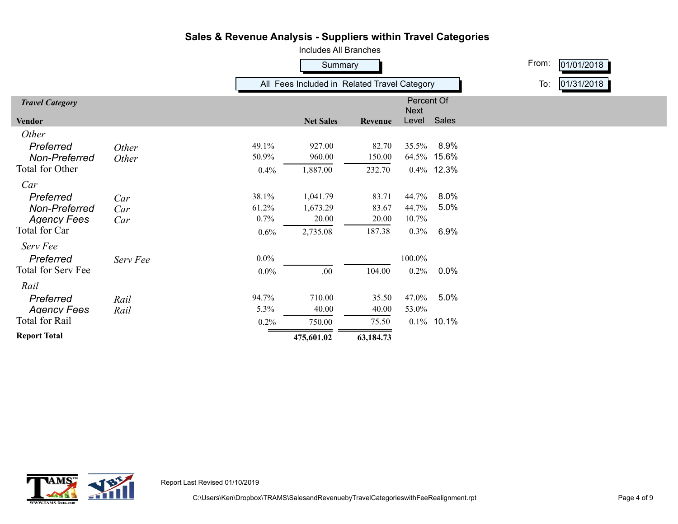

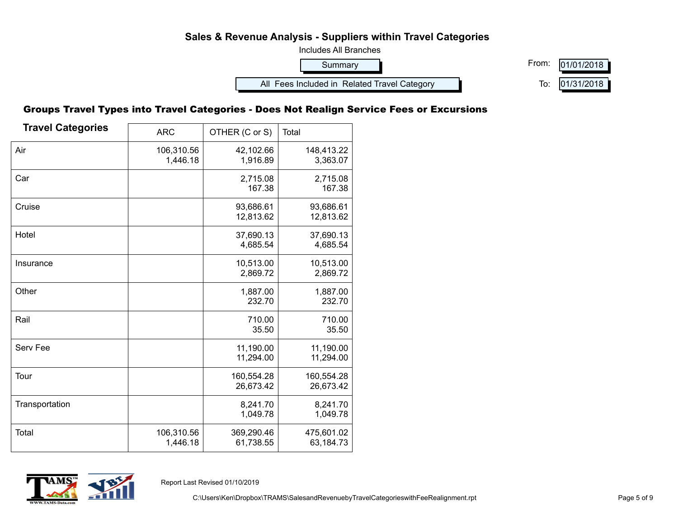

#### Groups Travel Types into Travel Categories - Does Not Realign Service Fees or Excursions

| <b>Travel Categories</b> | <b>ARC</b>             | OTHER (C or S)          | Total                   |
|--------------------------|------------------------|-------------------------|-------------------------|
| Air                      | 106,310.56<br>1,446.18 | 42,102.66<br>1,916.89   | 148,413.22<br>3,363.07  |
| Car                      |                        | 2,715.08<br>167.38      | 2,715.08<br>167.38      |
| Cruise                   |                        | 93,686.61<br>12,813.62  | 93,686.61<br>12,813.62  |
| Hotel                    |                        | 37,690.13<br>4,685.54   | 37,690.13<br>4,685.54   |
| Insurance                |                        | 10,513.00<br>2,869.72   | 10,513.00<br>2,869.72   |
| Other                    |                        | 1,887.00<br>232.70      | 1,887.00<br>232.70      |
| Rail                     |                        | 710.00<br>35.50         | 710.00<br>35.50         |
| Serv Fee                 |                        | 11,190.00<br>11,294.00  | 11,190.00<br>11,294.00  |
| Tour                     |                        | 160,554.28<br>26,673.42 | 160,554.28<br>26,673.42 |
| Transportation           |                        | 8,241.70<br>1,049.78    | 8,241.70<br>1,049.78    |
| <b>Total</b>             | 106,310.56<br>1,446.18 | 369,290.46<br>61,738.55 | 475,601.02<br>63,184.73 |



Report Last Revised 01/10/2019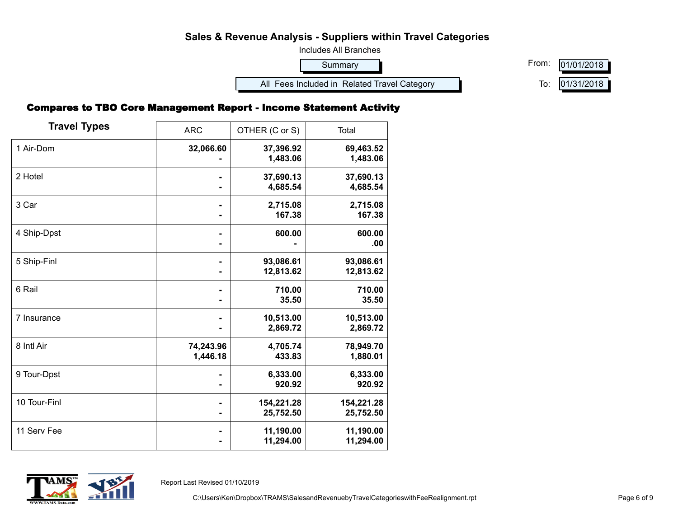

### Compares to TBO Core Management Report - Income Statement Activity

| <b>Travel Types</b> | <b>ARC</b>            | OTHER (C or S)          | Total                   |
|---------------------|-----------------------|-------------------------|-------------------------|
| 1 Air-Dom           | 32,066.60             | 37,396.92<br>1,483.06   | 69,463.52<br>1,483.06   |
| 2 Hotel             |                       | 37,690.13<br>4,685.54   | 37,690.13<br>4,685.54   |
| 3 Car               |                       | 2,715.08<br>167.38      | 2,715.08<br>167.38      |
| 4 Ship-Dpst         |                       | 600.00                  | 600.00<br>.00           |
| 5 Ship-Finl         |                       | 93,086.61<br>12,813.62  | 93,086.61<br>12,813.62  |
| 6 Rail              |                       | 710.00<br>35.50         | 710.00<br>35.50         |
| 7 Insurance         |                       | 10,513.00<br>2,869.72   | 10,513.00<br>2,869.72   |
| 8 Intl Air          | 74,243.96<br>1,446.18 | 4,705.74<br>433.83      | 78,949.70<br>1,880.01   |
| 9 Tour-Dpst         |                       | 6,333.00<br>920.92      | 6,333.00<br>920.92      |
| 10 Tour-Finl        |                       | 154,221.28<br>25,752.50 | 154,221.28<br>25,752.50 |
| 11 Serv Fee         |                       | 11,190.00<br>11,294.00  | 11,190.00<br>11,294.00  |



Report Last Revised 01/10/2019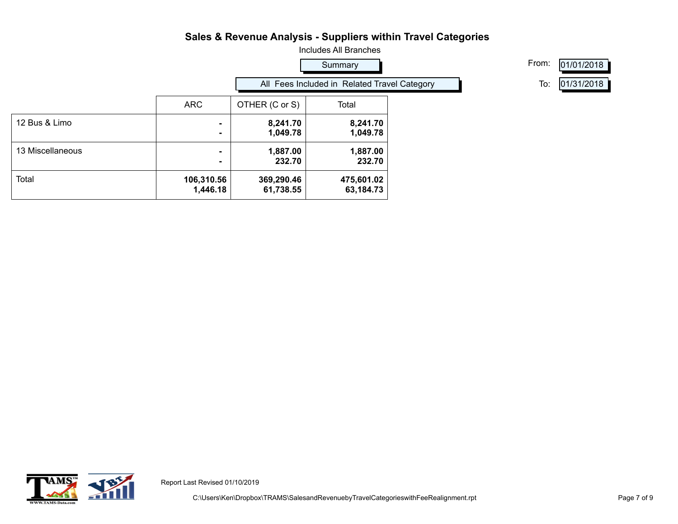

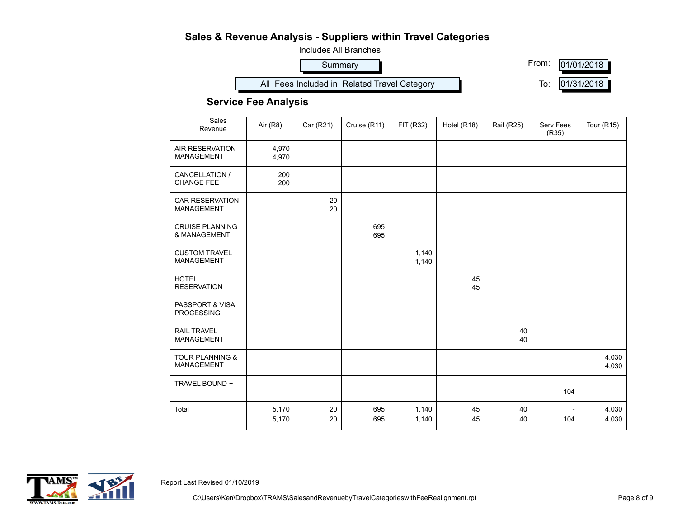

#### **Service Fee Analysis**

| Sales<br>Revenue                                | Air (R8)       | Car (R21) | Cruise (R11) | FIT (R32)      | Hotel (R18) | <b>Rail (R25)</b> | Serv Fees<br>(R35) | <b>Tour (R15)</b> |
|-------------------------------------------------|----------------|-----------|--------------|----------------|-------------|-------------------|--------------------|-------------------|
| <b>AIR RESERVATION</b><br><b>MANAGEMENT</b>     | 4,970<br>4,970 |           |              |                |             |                   |                    |                   |
| CANCELLATION /<br><b>CHANGE FEE</b>             | 200<br>200     |           |              |                |             |                   |                    |                   |
| <b>CAR RESERVATION</b><br><b>MANAGEMENT</b>     |                | 20<br>20  |              |                |             |                   |                    |                   |
| <b>CRUISE PLANNING</b><br>& MANAGEMENT          |                |           | 695<br>695   |                |             |                   |                    |                   |
| <b>CUSTOM TRAVEL</b><br><b>MANAGEMENT</b>       |                |           |              | 1,140<br>1,140 |             |                   |                    |                   |
| <b>HOTEL</b><br><b>RESERVATION</b>              |                |           |              |                | 45<br>45    |                   |                    |                   |
| PASSPORT & VISA<br><b>PROCESSING</b>            |                |           |              |                |             |                   |                    |                   |
| <b>RAIL TRAVEL</b><br><b>MANAGEMENT</b>         |                |           |              |                |             | 40<br>40          |                    |                   |
| <b>TOUR PLANNING &amp;</b><br><b>MANAGEMENT</b> |                |           |              |                |             |                   |                    | 4,030<br>4,030    |
| TRAVEL BOUND +                                  |                |           |              |                |             |                   | 104                |                   |
| Total                                           | 5,170<br>5,170 | 20<br>20  | 695<br>695   | 1,140<br>1,140 | 45<br>45    | 40<br>40          | 104                | 4,030<br>4,030    |